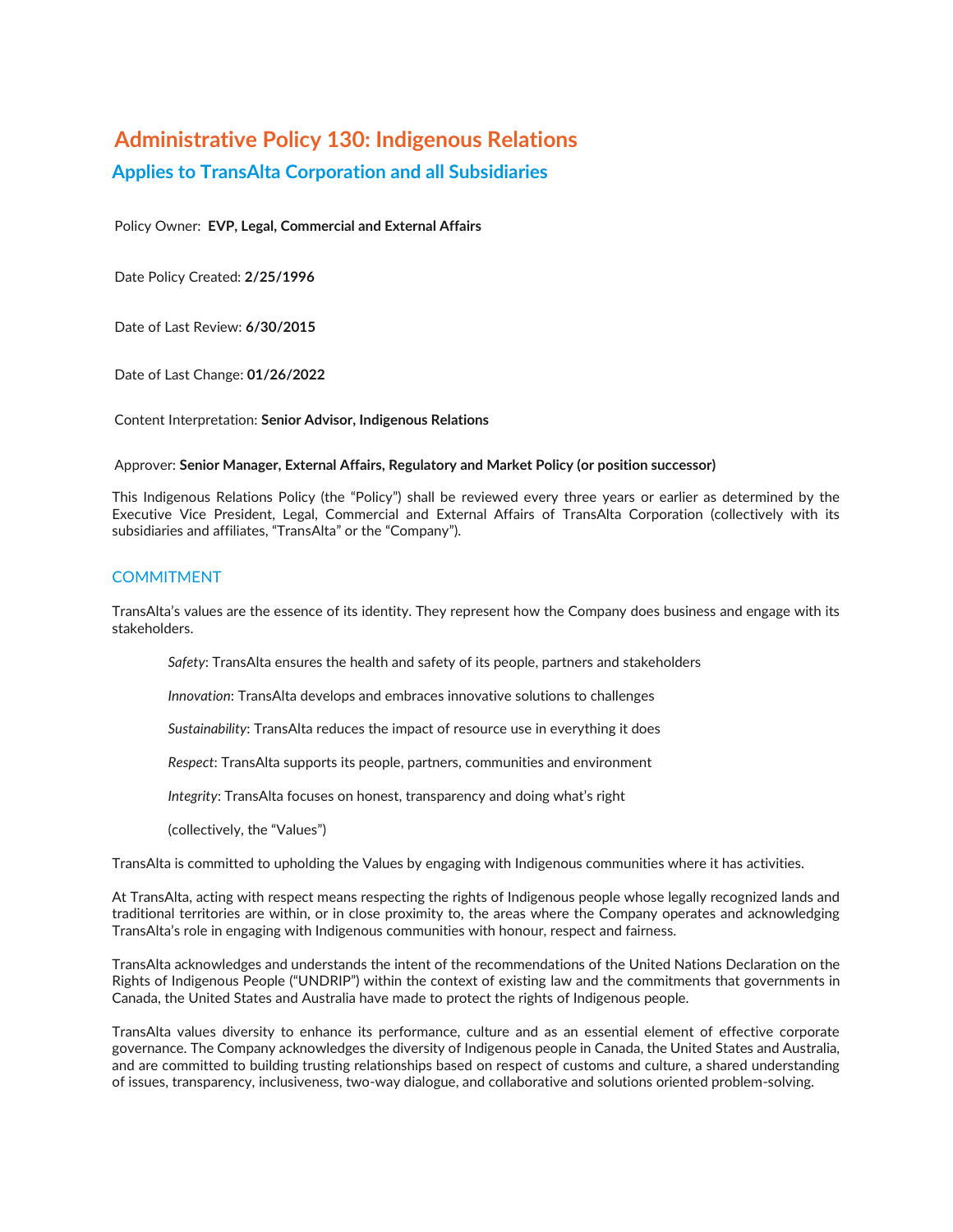# **Administrative Policy 130: Indigenous Relations Applies to TransAlta Corporation and all Subsidiaries**

Policy Owner: **EVP, Legal, Commercial and External Affairs**

Date Policy Created: **2/25/1996**

Date of Last Review: **6/30/2015**

Date of Last Change: **01/26/2022**

Content Interpretation: **Senior Advisor, Indigenous Relations**

## Approver: **Senior Manager, External Affairs, Regulatory and Market Policy (or position successor)**

This Indigenous Relations Policy (the "Policy") shall be reviewed every three years or earlier as determined by the Executive Vice President, Legal, Commercial and External Affairs of TransAlta Corporation (collectively with its subsidiaries and affiliates, "TransAlta" or the "Company").

# **COMMITMENT**

TransAlta's values are the essence of its identity. They represent how the Company does business and engage with its stakeholders.

*Safety*: TransAlta ensures the health and safety of its people, partners and stakeholders

*Innovation*: TransAlta develops and embraces innovative solutions to challenges

*Sustainability*: TransAlta reduces the impact of resource use in everything it does

*Respect*: TransAlta supports its people, partners, communities and environment

*Integrity*: TransAlta focuses on honest, transparency and doing what's right

(collectively, the "Values")

TransAlta is committed to upholding the Values by engaging with Indigenous communities where it has activities.

At TransAlta, acting with respect means respecting the rights of Indigenous people whose legally recognized lands and traditional territories are within, or in close proximity to, the areas where the Company operates and acknowledging TransAlta's role in engaging with Indigenous communities with honour, respect and fairness.

TransAlta acknowledges and understands the intent of the recommendations of the United Nations Declaration on the Rights of Indigenous People ("UNDRIP") within the context of existing law and the commitments that governments in Canada, the United States and Australia have made to protect the rights of Indigenous people.

TransAlta values diversity to enhance its performance, culture and as an essential element of effective corporate governance. The Company acknowledges the diversity of Indigenous people in Canada, the United States and Australia, and are committed to building trusting relationships based on respect of customs and culture, a shared understanding of issues, transparency, inclusiveness, two-way dialogue, and collaborative and solutions oriented problem-solving.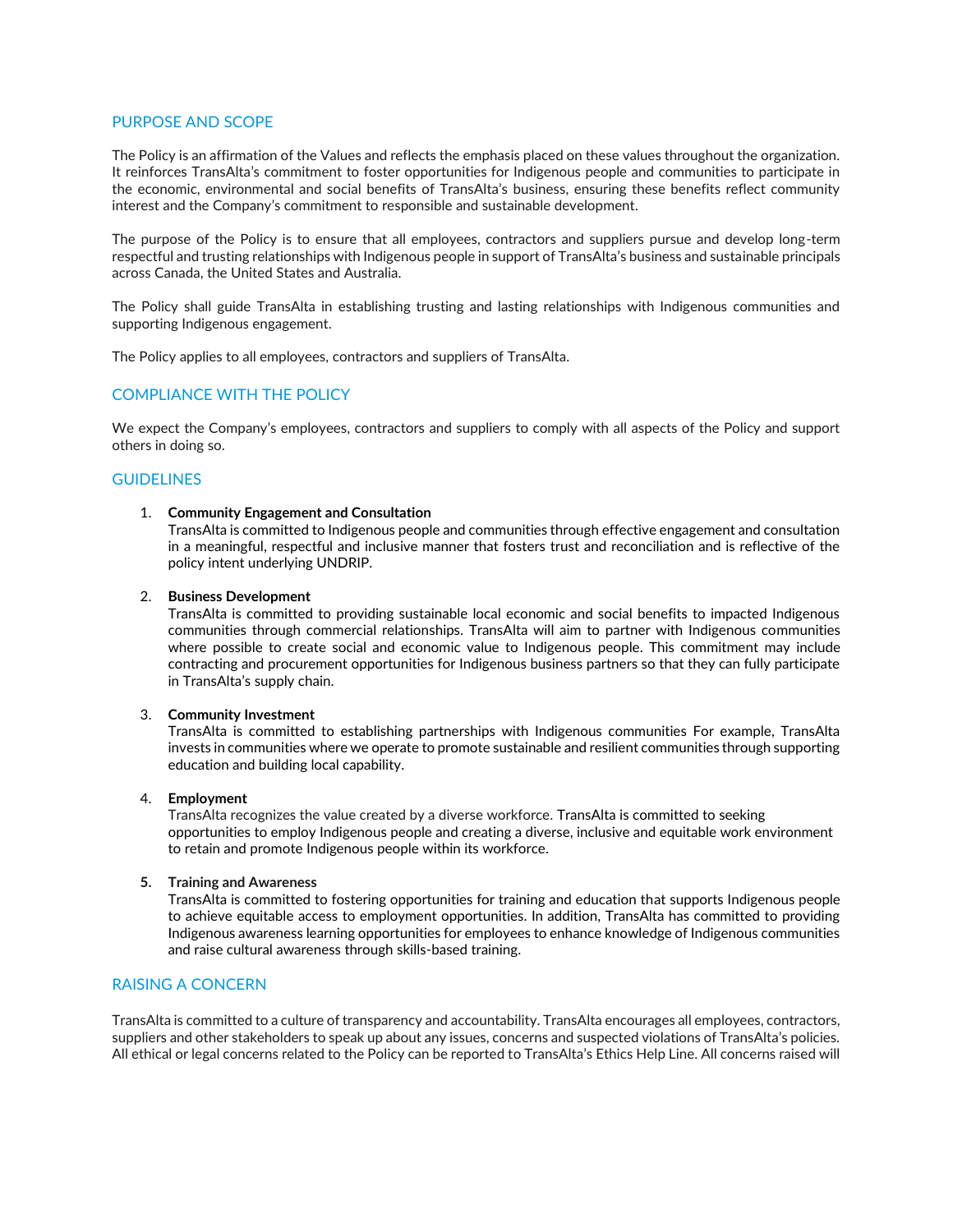# PURPOSE AND SCOPE

The Policy is an affirmation of the Values and reflects the emphasis placed on these values throughout the organization. It reinforces TransAlta's commitment to foster opportunities for Indigenous people and communities to participate in the economic, environmental and social benefits of TransAlta's business, ensuring these benefits reflect community interest and the Company's commitment to responsible and sustainable development.

The purpose of the Policy is to ensure that all employees, contractors and suppliers pursue and develop long-term respectful and trusting relationships with Indigenous people in support of TransAlta's business and sustainable principals across Canada, the United States and Australia.

The Policy shall guide TransAlta in establishing trusting and lasting relationships with Indigenous communities and supporting Indigenous engagement.

The Policy applies to all employees, contractors and suppliers of TransAlta.

# COMPLIANCE WITH THE POLICY

We expect the Company's employees, contractors and suppliers to comply with all aspects of the Policy and support others in doing so.

# **GUIDELINES**

#### 1. **Community Engagement and Consultation**

TransAlta is committed to Indigenous people and communities through effective engagement and consultation in a meaningful, respectful and inclusive manner that fosters trust and reconciliation and is reflective of the policy intent underlying UNDRIP.

## 2. **Business Development**

TransAlta is committed to providing sustainable local economic and social benefits to impacted Indigenous communities through commercial relationships. TransAlta will aim to partner with Indigenous communities where possible to create social and economic value to Indigenous people. This commitment may include contracting and procurement opportunities for Indigenous business partners so that they can fully participate in TransAlta's supply chain.

## 3. **Community Investment**

TransAlta is committed to establishing partnerships with Indigenous communities For example, TransAlta invests in communities where we operate to promote sustainable and resilient communities through supporting education and building local capability.

## 4. **Employment**

TransAlta recognizes the value created by a diverse workforce. TransAlta is committed to seeking opportunities to employ Indigenous people and creating a diverse, inclusive and equitable work environment to retain and promote Indigenous people within its workforce.

# **5. Training and Awareness**

TransAlta is committed to fostering opportunities for training and education that supports Indigenous people to achieve equitable access to employment opportunities. In addition, TransAlta has committed to providing Indigenous awareness learning opportunities for employees to enhance knowledge of Indigenous communities and raise cultural awareness through skills-based training.

# RAISING A CONCERN

TransAlta is committed to a culture of transparency and accountability. TransAlta encourages all employees, contractors, suppliers and other stakeholders to speak up about any issues, concerns and suspected violations of TransAlta's policies. All ethical or legal concerns related to the Policy can be reported to TransAlta's Ethics Help Line. All concerns raised will